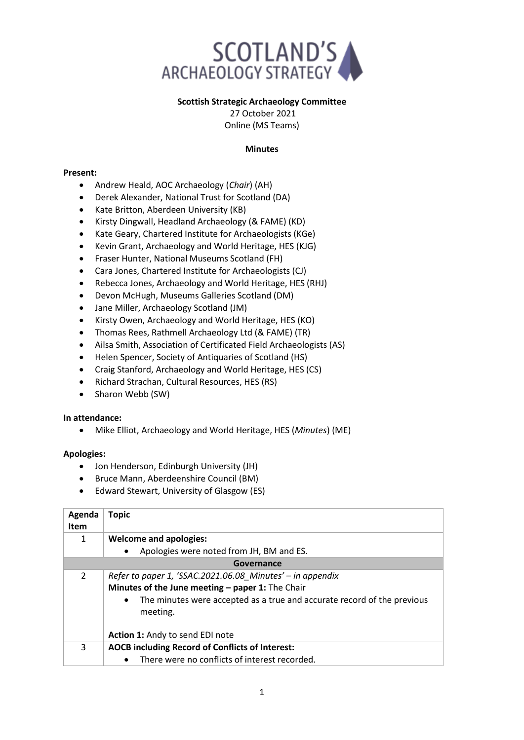

# **Scottish Strategic Archaeology Committee**

27 October 2021 Online (MS Teams)

## **Minutes**

## **Present:**

- Andrew Heald, AOC Archaeology (*Chair*) (AH)
- Derek Alexander, National Trust for Scotland (DA)
- Kate Britton, Aberdeen University (KB)
- Kirsty Dingwall, Headland Archaeology (& FAME) (KD)
- Kate Geary, Chartered Institute for Archaeologists (KGe)
- Kevin Grant, Archaeology and World Heritage, HES (KJG)
- Fraser Hunter, National Museums Scotland (FH)
- Cara Jones, Chartered Institute for Archaeologists (CJ)
- Rebecca Jones, Archaeology and World Heritage, HES (RHJ)
- Devon McHugh, Museums Galleries Scotland (DM)
- Jane Miller, Archaeology Scotland (JM)
- Kirsty Owen, Archaeology and World Heritage, HES (KO)
- Thomas Rees, Rathmell Archaeology Ltd (& FAME) (TR)
- Ailsa Smith, Association of Certificated Field Archaeologists (AS)
- Helen Spencer, Society of Antiquaries of Scotland (HS)
- Craig Stanford, Archaeology and World Heritage, HES (CS)
- Richard Strachan, Cultural Resources, HES (RS)
- Sharon Webb (SW)

### **In attendance:**

• Mike Elliot, Archaeology and World Heritage, HES (*Minutes*) (ME)

# **Apologies:**

- Jon Henderson, Edinburgh University (JH)
- Bruce Mann, Aberdeenshire Council (BM)
- Edward Stewart, University of Glasgow (ES)

| Agenda<br><b>Item</b> | <b>Topic</b>                                                                                                                                                                                                      |
|-----------------------|-------------------------------------------------------------------------------------------------------------------------------------------------------------------------------------------------------------------|
| 1                     | <b>Welcome and apologies:</b>                                                                                                                                                                                     |
|                       | Apologies were noted from JH, BM and ES.<br>$\bullet$                                                                                                                                                             |
| Governance            |                                                                                                                                                                                                                   |
| $\mathfrak{D}$        | Refer to paper 1, 'SSAC.2021.06.08 Minutes' – in appendix<br>Minutes of the June meeting - paper 1: The Chair<br>The minutes were accepted as a true and accurate record of the previous<br>$\bullet$<br>meeting. |
|                       | Action 1: Andy to send EDI note                                                                                                                                                                                   |
| 3                     | <b>AOCB including Record of Conflicts of Interest:</b><br>There were no conflicts of interest recorded.<br>$\bullet$                                                                                              |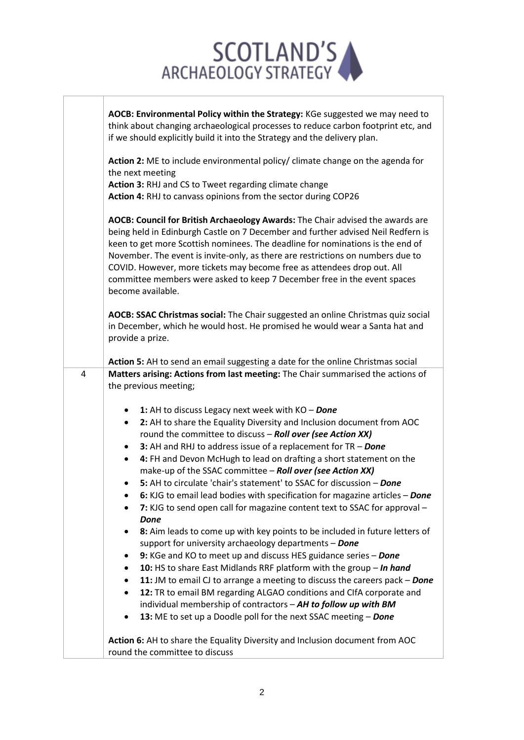

 $\Gamma$ 

T

|   | AOCB: Environmental Policy within the Strategy: KGe suggested we may need to<br>think about changing archaeological processes to reduce carbon footprint etc, and<br>if we should explicitly build it into the Strategy and the delivery plan.                                                                                                                                                                                                                                                                                                                                                                                                                                      |
|---|-------------------------------------------------------------------------------------------------------------------------------------------------------------------------------------------------------------------------------------------------------------------------------------------------------------------------------------------------------------------------------------------------------------------------------------------------------------------------------------------------------------------------------------------------------------------------------------------------------------------------------------------------------------------------------------|
|   | Action 2: ME to include environmental policy/ climate change on the agenda for<br>the next meeting<br>Action 3: RHJ and CS to Tweet regarding climate change<br>Action 4: RHJ to canvass opinions from the sector during COP26                                                                                                                                                                                                                                                                                                                                                                                                                                                      |
|   | AOCB: Council for British Archaeology Awards: The Chair advised the awards are<br>being held in Edinburgh Castle on 7 December and further advised Neil Redfern is<br>keen to get more Scottish nominees. The deadline for nominations is the end of<br>November. The event is invite-only, as there are restrictions on numbers due to<br>COVID. However, more tickets may become free as attendees drop out. All<br>committee members were asked to keep 7 December free in the event spaces<br>become available.                                                                                                                                                                 |
|   | AOCB: SSAC Christmas social: The Chair suggested an online Christmas quiz social<br>in December, which he would host. He promised he would wear a Santa hat and<br>provide a prize.<br>Action 5: AH to send an email suggesting a date for the online Christmas social                                                                                                                                                                                                                                                                                                                                                                                                              |
| 4 | Matters arising: Actions from last meeting: The Chair summarised the actions of                                                                                                                                                                                                                                                                                                                                                                                                                                                                                                                                                                                                     |
|   | the previous meeting;                                                                                                                                                                                                                                                                                                                                                                                                                                                                                                                                                                                                                                                               |
|   | 1: AH to discuss Legacy next week with KO - Done<br>$\bullet$<br>2: AH to share the Equality Diversity and Inclusion document from AOC<br>٠<br>round the committee to discuss - Roll over (see Action XX)<br>3: AH and RHJ to address issue of a replacement for TR - Done<br>$\bullet$<br>4: FH and Devon McHugh to lead on drafting a short statement on the<br>٠<br>make-up of the SSAC committee - Roll over (see Action XX)<br>5: AH to circulate 'chair's statement' to SSAC for discussion - Done<br>6: KJG to email lead bodies with specification for magazine articles - Done<br>7: KJG to send open call for magazine content text to SSAC for approval -<br><b>Done</b> |
|   | 8: Aim leads to come up with key points to be included in future letters of<br>support for university archaeology departments - Done<br>9: KGe and KO to meet up and discuss HES guidance series - Done                                                                                                                                                                                                                                                                                                                                                                                                                                                                             |
|   | 10: HS to share East Midlands RRF platform with the group - In hand<br>11: JM to email CJ to arrange a meeting to discuss the careers pack - Done                                                                                                                                                                                                                                                                                                                                                                                                                                                                                                                                   |
|   | 12: TR to email BM regarding ALGAO conditions and ClfA corporate and<br>$\bullet$                                                                                                                                                                                                                                                                                                                                                                                                                                                                                                                                                                                                   |
|   | individual membership of contractors - AH to follow up with BM<br>13: ME to set up a Doodle poll for the next SSAC meeting - Done                                                                                                                                                                                                                                                                                                                                                                                                                                                                                                                                                   |
|   | Action 6: AH to share the Equality Diversity and Inclusion document from AOC<br>round the committee to discuss                                                                                                                                                                                                                                                                                                                                                                                                                                                                                                                                                                      |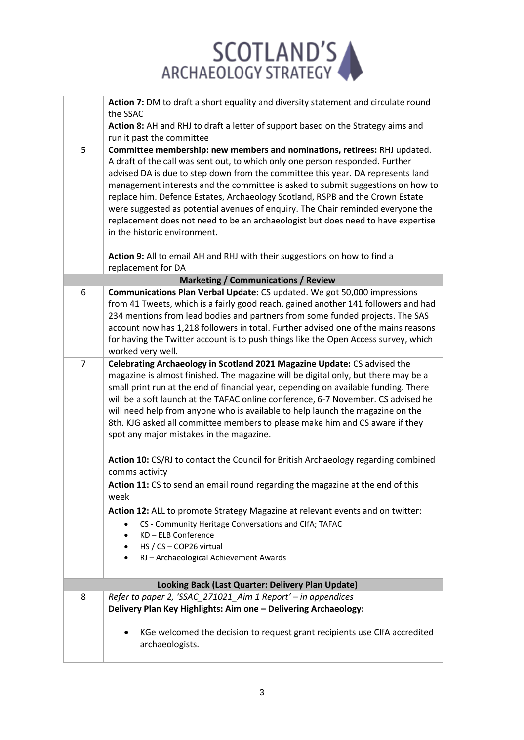

|   | Action 7: DM to draft a short equality and diversity statement and circulate round                                                                                       |
|---|--------------------------------------------------------------------------------------------------------------------------------------------------------------------------|
|   | the SSAC                                                                                                                                                                 |
|   | Action 8: AH and RHJ to draft a letter of support based on the Strategy aims and                                                                                         |
|   | run it past the committee                                                                                                                                                |
| 5 | Committee membership: new members and nominations, retirees: RHJ updated.                                                                                                |
|   | A draft of the call was sent out, to which only one person responded. Further                                                                                            |
|   | advised DA is due to step down from the committee this year. DA represents land                                                                                          |
|   | management interests and the committee is asked to submit suggestions on how to                                                                                          |
|   | replace him. Defence Estates, Archaeology Scotland, RSPB and the Crown Estate                                                                                            |
|   | were suggested as potential avenues of enquiry. The Chair reminded everyone the<br>replacement does not need to be an archaeologist but does need to have expertise      |
|   | in the historic environment.                                                                                                                                             |
|   |                                                                                                                                                                          |
|   | Action 9: All to email AH and RHJ with their suggestions on how to find a                                                                                                |
|   | replacement for DA                                                                                                                                                       |
|   | <b>Marketing / Communications / Review</b>                                                                                                                               |
| 6 | Communications Plan Verbal Update: CS updated. We got 50,000 impressions                                                                                                 |
|   | from 41 Tweets, which is a fairly good reach, gained another 141 followers and had                                                                                       |
|   | 234 mentions from lead bodies and partners from some funded projects. The SAS                                                                                            |
|   | account now has 1,218 followers in total. Further advised one of the mains reasons                                                                                       |
|   | for having the Twitter account is to push things like the Open Access survey, which                                                                                      |
|   | worked very well.                                                                                                                                                        |
| 7 | Celebrating Archaeology in Scotland 2021 Magazine Update: CS advised the                                                                                                 |
|   | magazine is almost finished. The magazine will be digital only, but there may be a                                                                                       |
|   | small print run at the end of financial year, depending on available funding. There<br>will be a soft launch at the TAFAC online conference, 6-7 November. CS advised he |
|   | will need help from anyone who is available to help launch the magazine on the                                                                                           |
|   | 8th. KJG asked all committee members to please make him and CS aware if they                                                                                             |
|   | spot any major mistakes in the magazine.                                                                                                                                 |
|   |                                                                                                                                                                          |
|   | Action 10: CS/RJ to contact the Council for British Archaeology regarding combined                                                                                       |
|   | comms activity                                                                                                                                                           |
|   | Action 11: CS to send an email round regarding the magazine at the end of this                                                                                           |
|   | week                                                                                                                                                                     |
|   | Action 12: ALL to promote Strategy Magazine at relevant events and on twitter:                                                                                           |
|   | CS - Community Heritage Conversations and ClfA; TAFAC<br>$\bullet$                                                                                                       |
|   | KD - ELB Conference<br>$\bullet$                                                                                                                                         |
|   | HS / CS - COP26 virtual<br>$\bullet$                                                                                                                                     |
|   | RJ - Archaeological Achievement Awards                                                                                                                                   |
|   |                                                                                                                                                                          |
|   | Looking Back (Last Quarter: Delivery Plan Update)                                                                                                                        |
| 8 | Refer to paper 2, 'SSAC_271021_Aim 1 Report' - in appendices                                                                                                             |
|   | Delivery Plan Key Highlights: Aim one - Delivering Archaeology:                                                                                                          |
|   |                                                                                                                                                                          |
|   | KGe welcomed the decision to request grant recipients use CIfA accredited                                                                                                |
|   | archaeologists.                                                                                                                                                          |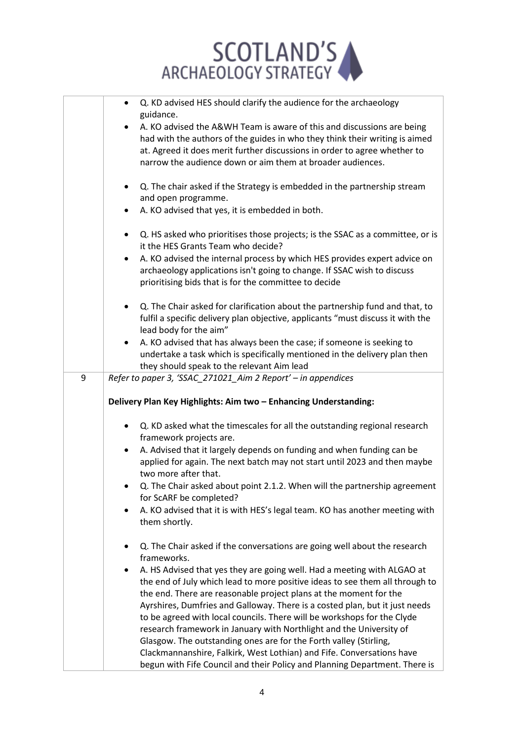

|   | Q. KD advised HES should clarify the audience for the archaeology<br>$\bullet$             |
|---|--------------------------------------------------------------------------------------------|
|   | guidance.                                                                                  |
|   | A. KO advised the A&WH Team is aware of this and discussions are being                     |
|   | had with the authors of the guides in who they think their writing is aimed                |
|   | at. Agreed it does merit further discussions in order to agree whether to                  |
|   | narrow the audience down or aim them at broader audiences.                                 |
|   |                                                                                            |
|   | Q. The chair asked if the Strategy is embedded in the partnership stream<br>$\bullet$      |
|   | and open programme.                                                                        |
|   | A. KO advised that yes, it is embedded in both.                                            |
|   |                                                                                            |
|   | Q. HS asked who prioritises those projects; is the SSAC as a committee, or is<br>$\bullet$ |
|   | it the HES Grants Team who decide?                                                         |
|   |                                                                                            |
|   | A. KO advised the internal process by which HES provides expert advice on<br>$\bullet$     |
|   | archaeology applications isn't going to change. If SSAC wish to discuss                    |
|   | prioritising bids that is for the committee to decide                                      |
|   |                                                                                            |
|   | Q. The Chair asked for clarification about the partnership fund and that, to<br>$\bullet$  |
|   | fulfil a specific delivery plan objective, applicants "must discuss it with the            |
|   | lead body for the aim"                                                                     |
|   | A. KO advised that has always been the case; if someone is seeking to<br>٠                 |
|   | undertake a task which is specifically mentioned in the delivery plan then                 |
|   | they should speak to the relevant Aim lead                                                 |
| 9 | Refer to paper 3, 'SSAC_271021_Aim 2 Report' - in appendices                               |
|   |                                                                                            |
|   | Delivery Plan Key Highlights: Aim two - Enhancing Understanding:                           |
|   |                                                                                            |
|   | Q. KD asked what the timescales for all the outstanding regional research                  |
|   | framework projects are.                                                                    |
|   | A. Advised that it largely depends on funding and when funding can be                      |
|   | applied for again. The next batch may not start until 2023 and then maybe                  |
|   | two more after that.                                                                       |
|   | Q. The Chair asked about point 2.1.2. When will the partnership agreement                  |
|   | for ScARF be completed?                                                                    |
|   |                                                                                            |
|   | A. KO advised that it is with HES's legal team. KO has another meeting with                |
|   | them shortly.                                                                              |
|   |                                                                                            |
|   | Q. The Chair asked if the conversations are going well about the research                  |
|   | frameworks.                                                                                |
|   | A. HS Advised that yes they are going well. Had a meeting with ALGAO at<br>٠               |
|   | the end of July which lead to more positive ideas to see them all through to               |
|   | the end. There are reasonable project plans at the moment for the                          |
|   | Ayrshires, Dumfries and Galloway. There is a costed plan, but it just needs                |
|   | to be agreed with local councils. There will be workshops for the Clyde                    |
|   | research framework in January with Northlight and the University of                        |
|   | Glasgow. The outstanding ones are for the Forth valley (Stirling,                          |
|   | Clackmannanshire, Falkirk, West Lothian) and Fife. Conversations have                      |
|   | begun with Fife Council and their Policy and Planning Department. There is                 |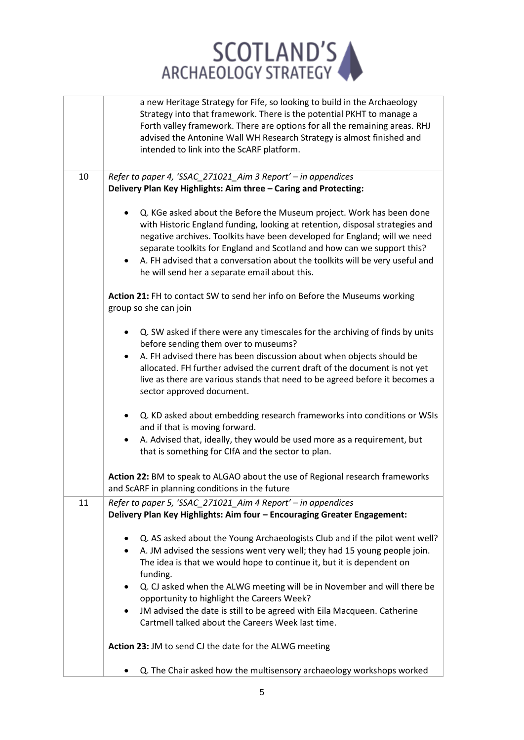

|    | a new Heritage Strategy for Fife, so looking to build in the Archaeology<br>Strategy into that framework. There is the potential PKHT to manage a<br>Forth valley framework. There are options for all the remaining areas. RHJ<br>advised the Antonine Wall WH Research Strategy is almost finished and<br>intended to link into the ScARF platform.                                                                                                                                                                              |
|----|------------------------------------------------------------------------------------------------------------------------------------------------------------------------------------------------------------------------------------------------------------------------------------------------------------------------------------------------------------------------------------------------------------------------------------------------------------------------------------------------------------------------------------|
| 10 | Refer to paper 4, 'SSAC_271021_Aim 3 Report' - in appendices<br>Delivery Plan Key Highlights: Aim three - Caring and Protecting:                                                                                                                                                                                                                                                                                                                                                                                                   |
|    | Q. KGe asked about the Before the Museum project. Work has been done<br>$\bullet$<br>with Historic England funding, looking at retention, disposal strategies and<br>negative archives. Toolkits have been developed for England; will we need<br>separate toolkits for England and Scotland and how can we support this?<br>A. FH advised that a conversation about the toolkits will be very useful and<br>$\bullet$<br>he will send her a separate email about this.                                                            |
|    | Action 21: FH to contact SW to send her info on Before the Museums working<br>group so she can join                                                                                                                                                                                                                                                                                                                                                                                                                                |
|    | Q. SW asked if there were any timescales for the archiving of finds by units<br>٠<br>before sending them over to museums?<br>A. FH advised there has been discussion about when objects should be<br>$\bullet$<br>allocated. FH further advised the current draft of the document is not yet<br>live as there are various stands that need to be agreed before it becomes a<br>sector approved document.                                                                                                                           |
|    | Q. KD asked about embedding research frameworks into conditions or WSIs<br>٠<br>and if that is moving forward.<br>A. Advised that, ideally, they would be used more as a requirement, but<br>$\bullet$<br>that is something for CIfA and the sector to plan.                                                                                                                                                                                                                                                                       |
|    | Action 22: BM to speak to ALGAO about the use of Regional research frameworks<br>and ScARF in planning conditions in the future                                                                                                                                                                                                                                                                                                                                                                                                    |
| 11 | Refer to paper 5, 'SSAC_271021_Aim 4 Report' - in appendices<br>Delivery Plan Key Highlights: Aim four - Encouraging Greater Engagement:                                                                                                                                                                                                                                                                                                                                                                                           |
|    | Q. AS asked about the Young Archaeologists Club and if the pilot went well?<br>٠<br>A. JM advised the sessions went very well; they had 15 young people join.<br>$\bullet$<br>The idea is that we would hope to continue it, but it is dependent on<br>funding.<br>Q. CJ asked when the ALWG meeting will be in November and will there be<br>٠<br>opportunity to highlight the Careers Week?<br>JM advised the date is still to be agreed with Eila Macqueen. Catherine<br>٠<br>Cartmell talked about the Careers Week last time. |
|    | Action 23: JM to send CJ the date for the ALWG meeting                                                                                                                                                                                                                                                                                                                                                                                                                                                                             |
|    | Q. The Chair asked how the multisensory archaeology workshops worked                                                                                                                                                                                                                                                                                                                                                                                                                                                               |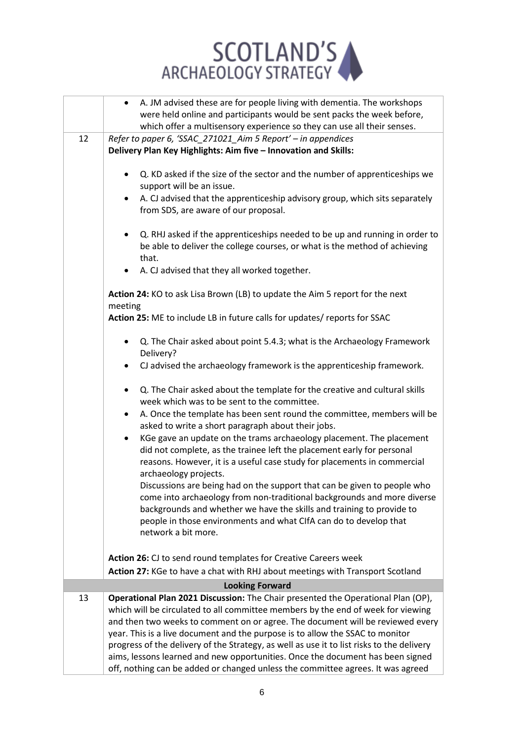

|    | A. JM advised these are for people living with dementia. The workshops<br>$\bullet$<br>were held online and participants would be sent packs the week before,                                                                                                                                                            |
|----|--------------------------------------------------------------------------------------------------------------------------------------------------------------------------------------------------------------------------------------------------------------------------------------------------------------------------|
|    | which offer a multisensory experience so they can use all their senses.                                                                                                                                                                                                                                                  |
| 12 | Refer to paper 6, 'SSAC_271021_Aim 5 Report' - in appendices                                                                                                                                                                                                                                                             |
|    | Delivery Plan Key Highlights: Aim five - Innovation and Skills:                                                                                                                                                                                                                                                          |
|    | Q. KD asked if the size of the sector and the number of apprenticeships we<br>$\bullet$<br>support will be an issue.                                                                                                                                                                                                     |
|    | A. CJ advised that the apprenticeship advisory group, which sits separately<br>$\bullet$<br>from SDS, are aware of our proposal.                                                                                                                                                                                         |
|    | Q. RHJ asked if the apprenticeships needed to be up and running in order to<br>$\bullet$<br>be able to deliver the college courses, or what is the method of achieving<br>that.                                                                                                                                          |
|    | A. CJ advised that they all worked together.<br>$\bullet$                                                                                                                                                                                                                                                                |
|    | Action 24: KO to ask Lisa Brown (LB) to update the Aim 5 report for the next<br>meeting                                                                                                                                                                                                                                  |
|    | Action 25: ME to include LB in future calls for updates/ reports for SSAC                                                                                                                                                                                                                                                |
|    | Q. The Chair asked about point 5.4.3; what is the Archaeology Framework<br>$\bullet$<br>Delivery?                                                                                                                                                                                                                        |
|    | CJ advised the archaeology framework is the apprenticeship framework.<br>$\bullet$                                                                                                                                                                                                                                       |
|    | Q. The Chair asked about the template for the creative and cultural skills<br>$\bullet$<br>week which was to be sent to the committee.                                                                                                                                                                                   |
|    | A. Once the template has been sent round the committee, members will be<br>$\bullet$<br>asked to write a short paragraph about their jobs.                                                                                                                                                                               |
|    | KGe gave an update on the trams archaeology placement. The placement<br>$\bullet$<br>did not complete, as the trainee left the placement early for personal<br>reasons. However, it is a useful case study for placements in commercial<br>archaeology projects.                                                         |
|    | Discussions are being had on the support that can be given to people who<br>come into archaeology from non-traditional backgrounds and more diverse<br>backgrounds and whether we have the skills and training to provide to<br>people in those environments and what CIfA can do to develop that<br>network a bit more. |
|    | Action 26: CJ to send round templates for Creative Careers week                                                                                                                                                                                                                                                          |
|    | Action 27: KGe to have a chat with RHJ about meetings with Transport Scotland                                                                                                                                                                                                                                            |
|    | <b>Looking Forward</b>                                                                                                                                                                                                                                                                                                   |
| 13 | Operational Plan 2021 Discussion: The Chair presented the Operational Plan (OP),                                                                                                                                                                                                                                         |
|    | which will be circulated to all committee members by the end of week for viewing                                                                                                                                                                                                                                         |
|    | and then two weeks to comment on or agree. The document will be reviewed every                                                                                                                                                                                                                                           |
|    | year. This is a live document and the purpose is to allow the SSAC to monitor                                                                                                                                                                                                                                            |
|    | progress of the delivery of the Strategy, as well as use it to list risks to the delivery                                                                                                                                                                                                                                |
|    | aims, lessons learned and new opportunities. Once the document has been signed                                                                                                                                                                                                                                           |
|    | off, nothing can be added or changed unless the committee agrees. It was agreed                                                                                                                                                                                                                                          |